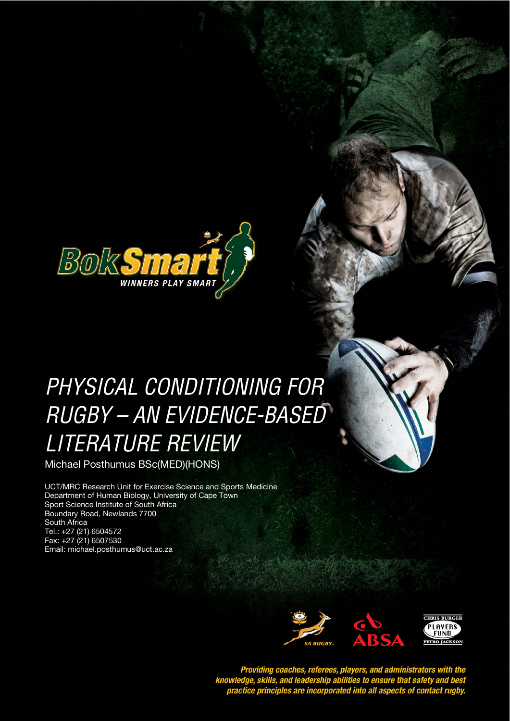

# PHYSICAL CONDITIONING FOR **STYLE HEADING FOR TABLES**  RUGBY – AN EVIDENCE-BASED LITERATURE REVIEW

Michael Posthumus BSc(MED)(HONS)

UCT/MRC Research Unit for Exercise Science and Sports Medicine Department of Human Biology, University of Cape Town Sport Science Institute of South Africa Boundary Road, Newlands 7700 South Africa Tel.: +27 (21) 6504572 Fax: +27 (21) 6507530 Email: michael.posthumus@uct.ac.za



Providing coaches, referees, players, and administrators with the<br>knowledge, skills, and leadership abilities to ensure that safety and best<br>practice principles are incorporated into all aspects of contact rugby.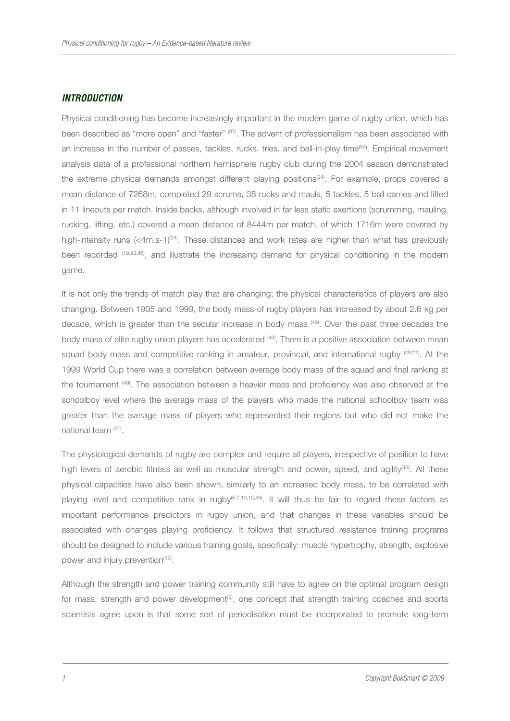#### **INTRODUCTION**

Physical conditioning has become increasingly important in the modern game of rugby union, which has been described as "more open" and "faster" (37). The advent of professionalism has been associated with an increase in the number of passes, tackles, rucks, tries, and ball-in-play time<sup>(54)</sup>. Empirical movement analysis data of a professional northern hemisphere rugby club during the 2004 season demonstrated the extreme physical demands amongst different playing positions<sup>(24)</sup>. For example, props covered a mean distance of 7268m, completed 29 scrums, 38 rucks and mauls, 5 tackles, 5 ball carries and lifted in 11 lineouts per match. Inside backs, although involved in far less static exertions (scrumming, mauling, rucking, lifting, etc.) covered a mean distance of 8444m per match, of which 1716m were covered by high-intensity runs  $( $4m.s-1$ )<sup>(24)</sup>. These distances and work rates are higher than what has previously$ been recorded (19,23,46), and illustrate the increasing demand for physical conditioning in the modern game.

It is not only the trends of match play that are changing; the physical characteristics of players are also changing. Between 1905 and 1999, the body mass of rugby players has increased by about 2.6 kg per decade, which is greater than the secular increase in body mass (49). Over the past three decades the body mass of elite rugby union players has accelerated <sup>(49)</sup>. There is a positive association between mean squad body mass and competitive ranking in amateur, provincial, and international rugby  $^{(49,21)}$ . At the 1999 World Cup there was a correlation between average body mass of the squad and final ranking at the tournament <sup>(49)</sup>. The association between a heavier mass and proficiency was also observed at the schoolboy level where the average mass of the players who made the national schoolboy team was greater than the average mass of players who represented their regions but who did not make the national team (20).

The physiological demands of rugby are complex and require all players, irrespective of position to have high levels of aerobic fitness as well as muscular strength and power, speed, and agility<sup>(49)</sup>. All these physical capacities have also been shown, similarly to an increased body mass, to be correlated with playing level and competitive rank in rugby $(6,7,10,15,49)$ . It will thus be fair to regard these factors as important performance predictors in rugby union, and that changes in these variables should be associated with changes playing proficiency. It follows that structured resistance training programs should be designed to include various training goals, specifically: muscle hypertrophy, strength, explosive power and injury prevention<sup>(32)</sup>.

Although the strength and power training community still have to agree on the optimal program design for mass, strength and power development<sup>(9)</sup>, one concept that strength training coaches and sports scientists agree upon is that some sort of periodisation must be incorporated to promote long-term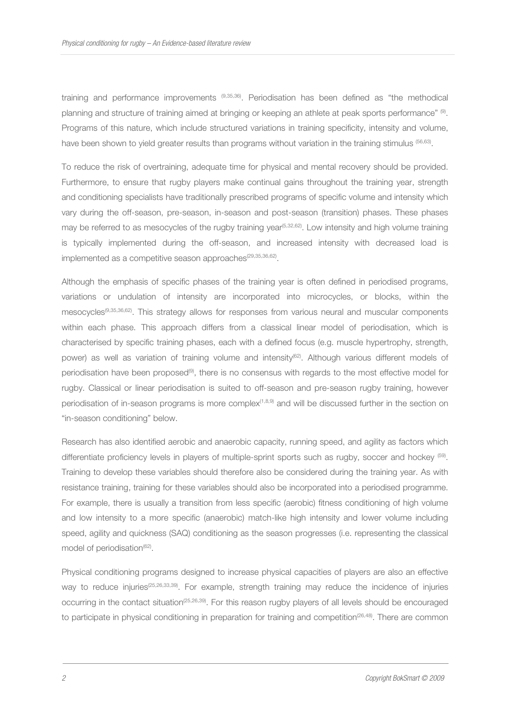training and performance improvements (9,35,36). Periodisation has been defined as "the methodical planning and structure of training aimed at bringing or keeping an athlete at peak sports performance" (9). Programs of this nature, which include structured variations in training specificity, intensity and volume, have been shown to yield greater results than programs without variation in the training stimulus <sup>(56,63)</sup>.

To reduce the risk of overtraining, adequate time for physical and mental recovery should be provided. Furthermore, to ensure that rugby players make continual gains throughout the training year, strength and conditioning specialists have traditionally prescribed programs of specific volume and intensity which vary during the off-season, pre-season, in-season and post-season (transition) phases. These phases may be referred to as mesocycles of the rugby training year<sup>(5,32,62</sup>). Low intensity and high volume training is typically implemented during the off-season, and increased intensity with decreased load is implemented as a competitive season approaches<sup>(29,35,36,62)</sup>.

Although the emphasis of specific phases of the training year is often defined in periodised programs, variations or undulation of intensity are incorporated into microcycles, or blocks, within the mesocycles(9,35,36,62). This strategy allows for responses from various neural and muscular components within each phase. This approach differs from a classical linear model of periodisation, which is characterised by specific training phases, each with a defined focus (e.g. muscle hypertrophy, strength, power) as well as variation of training volume and intensity<sup>(62)</sup>. Although various different models of periodisation have been proposed<sup>(9)</sup>, there is no consensus with regards to the most effective model for rugby. Classical or linear periodisation is suited to off-season and pre-season rugby training, however periodisation of in-season programs is more complex<sup>(1,8,9)</sup> and will be discussed further in the section on "in-season conditioning" below.

Research has also identified aerobic and anaerobic capacity, running speed, and agility as factors which differentiate proficiency levels in players of multiple-sprint sports such as rugby, soccer and hockey <sup>(59)</sup>. Training to develop these variables should therefore also be considered during the training year. As with resistance training, training for these variables should also be incorporated into a periodised programme. For example, there is usually a transition from less specific (aerobic) fitness conditioning of high volume and low intensity to a more specific (anaerobic) match-like high intensity and lower volume including speed, agility and quickness (SAQ) conditioning as the season progresses (i.e. representing the classical model of periodisation<sup>(62)</sup>.

Physical conditioning programs designed to increase physical capacities of players are also an effective way to reduce injuries(25,26,33,39). For example, strength training may reduce the incidence of injuries occurring in the contact situation<sup>(25,26,39)</sup>. For this reason rugby players of all levels should be encouraged to participate in physical conditioning in preparation for training and competition<sup>(26,48)</sup>. There are common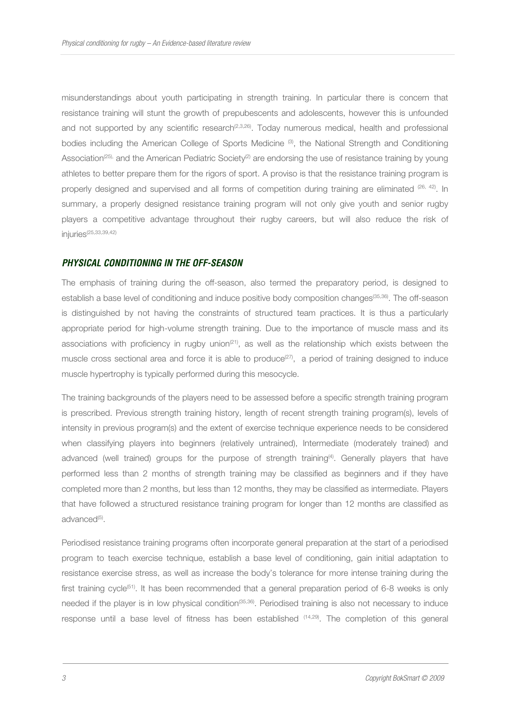misunderstandings about youth participating in strength training. In particular there is concern that resistance training will stunt the growth of prepubescents and adolescents, however this is unfounded and not supported by any scientific research<sup>(2,3,26)</sup>. Today numerous medical, health and professional bodies including the American College of Sports Medicine (3), the National Strength and Conditioning Association<sup>(25),</sup> and the American Pediatric Society<sup>(2)</sup> are endorsing the use of resistance training by young athletes to better prepare them for the rigors of sport. A proviso is that the resistance training program is properly designed and supervised and all forms of competition during training are eliminated (26, 42). In summary, a properly designed resistance training program will not only give youth and senior rugby players a competitive advantage throughout their rugby careers, but will also reduce the risk of injuries(25,33,39,42)

## **PHYSICAL CONDITIONING IN THE OFF-SEASON**

The emphasis of training during the off-season, also termed the preparatory period, is designed to establish a base level of conditioning and induce positive body composition changes(35,36). The off-season is distinguished by not having the constraints of structured team practices. It is thus a particularly appropriate period for high-volume strength training. Due to the importance of muscle mass and its associations with proficiency in rugby union<sup> $(21)$ </sup>, as well as the relationship which exists between the muscle cross sectional area and force it is able to produce<sup> $(27)$ </sup>, a period of training designed to induce muscle hypertrophy is typically performed during this mesocycle.

The training backgrounds of the players need to be assessed before a specific strength training program is prescribed. Previous strength training history, length of recent strength training program(s), levels of intensity in previous program(s) and the extent of exercise technique experience needs to be considered when classifying players into beginners (relatively untrained), Intermediate (moderately trained) and advanced (well trained) groups for the purpose of strength training<sup>(4)</sup>. Generally players that have performed less than 2 months of strength training may be classified as beginners and if they have completed more than 2 months, but less than 12 months, they may be classified as intermediate. Players that have followed a structured resistance training program for longer than 12 months are classified as advanced<sup>(5)</sup>.

Periodised resistance training programs often incorporate general preparation at the start of a periodised program to teach exercise technique, establish a base level of conditioning, gain initial adaptation to resistance exercise stress, as well as increase the body's tolerance for more intense training during the first training cycle<sup>(51)</sup>. It has been recommended that a general preparation period of 6-8 weeks is only needed if the player is in low physical condition<sup>(35,36)</sup>. Periodised training is also not necessary to induce response until a base level of fitness has been established  $(14,29)$ . The completion of this general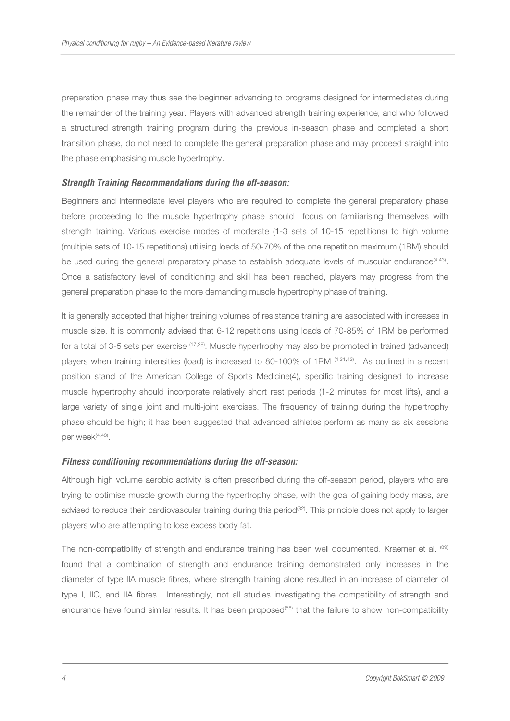preparation phase may thus see the beginner advancing to programs designed for intermediates during the remainder of the training year. Players with advanced strength training experience, and who followed a structured strength training program during the previous in-season phase and completed a short transition phase, do not need to complete the general preparation phase and may proceed straight into the phase emphasising muscle hypertrophy.

## **Strength Training Recommendations during the off-season:**

Beginners and intermediate level players who are required to complete the general preparatory phase before proceeding to the muscle hypertrophy phase should focus on familiarising themselves with strength training. Various exercise modes of moderate (1-3 sets of 10-15 repetitions) to high volume (multiple sets of 10-15 repetitions) utilising loads of 50-70% of the one repetition maximum (1RM) should be used during the general preparatory phase to establish adequate levels of muscular endurance $(4,43)$ . Once a satisfactory level of conditioning and skill has been reached, players may progress from the general preparation phase to the more demanding muscle hypertrophy phase of training.

It is generally accepted that higher training volumes of resistance training are associated with increases in muscle size. It is commonly advised that 6-12 repetitions using loads of 70-85% of 1RM be performed for a total of 3-5 sets per exercise (17,28). Muscle hypertrophy may also be promoted in trained (advanced) players when training intensities (load) is increased to 80-100% of 1RM (4,31,43). As outlined in a recent position stand of the American College of Sports Medicine(4), specific training designed to increase muscle hypertrophy should incorporate relatively short rest periods (1-2 minutes for most lifts), and a large variety of single joint and multi-joint exercises. The frequency of training during the hypertrophy phase should be high; it has been suggested that advanced athletes perform as many as six sessions per week<sup>(4,43)</sup>.

#### **Fitness conditioning recommendations during the off-season:**

Although high volume aerobic activity is often prescribed during the off-season period, players who are trying to optimise muscle growth during the hypertrophy phase, with the goal of gaining body mass, are advised to reduce their cardiovascular training during this period<sup>(32)</sup>. This principle does not apply to larger players who are attempting to lose excess body fat.

The non-compatibility of strength and endurance training has been well documented. Kraemer et al. (39) found that a combination of strength and endurance training demonstrated only increases in the diameter of type IIA muscle fibres, where strength training alone resulted in an increase of diameter of type I, IIC, and IIA fibres. Interestingly, not all studies investigating the compatibility of strength and endurance have found similar results. It has been proposed<sup>(58)</sup> that the failure to show non-compatibility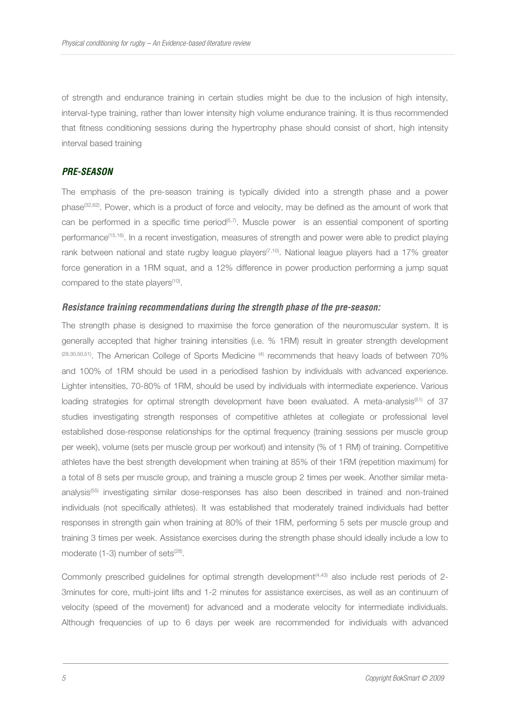of strength and endurance training in certain studies might be due to the inclusion of high intensity, interval-type training, rather than lower intensity high volume endurance training. It is thus recommended that fitness conditioning sessions during the hypertrophy phase should consist of short, high intensity interval based training

## **PRE-SEASON**

The emphasis of the pre-season training is typically divided into a strength phase and a power phase(32,62). Power, which is a product of force and velocity, may be defined as the amount of work that can be performed in a specific time period<sup>(5,7)</sup>. Muscle power is an essential component of sporting performance(15,16). In a recent investigation, measures of strength and power were able to predict playing rank between national and state rugby league players<sup>(7,10)</sup>. National league players had a 17% greater force generation in a 1RM squat, and a 12% difference in power production performing a jump squat compared to the state players<sup>(10)</sup>.

#### **Resistance training recommendations during the strength phase of the pre-season:**

The strength phase is designed to maximise the force generation of the neuromuscular system. It is generally accepted that higher training intensities (i.e. % 1RM) result in greater strength development (28,30,50,51). The American College of Sports Medicine <sup>(4)</sup> recommends that heavy loads of between 70% and 100% of 1RM should be used in a periodised fashion by individuals with advanced experience. Lighter intensities, 70-80% of 1RM, should be used by individuals with intermediate experience. Various loading strategies for optimal strength development have been evaluated. A meta-analysis<sup>(51)</sup> of 37 studies investigating strength responses of competitive athletes at collegiate or professional level established dose-response relationships for the optimal frequency (training sessions per muscle group per week), volume (sets per muscle group per workout) and intensity (% of 1 RM) of training. Competitive athletes have the best strength development when training at 85% of their 1RM (repetition maximum) for a total of 8 sets per muscle group, and training a muscle group 2 times per week. Another similar metaanalysis<sup>(55)</sup> investigating similar dose-responses has also been described in trained and non-trained individuals (not specifically athletes). It was established that moderately trained individuals had better responses in strength gain when training at 80% of their 1RM, performing 5 sets per muscle group and training 3 times per week. Assistance exercises during the strength phase should ideally include a low to moderate  $(1-3)$  number of sets<sup> $(28)$ </sup>.

Commonly prescribed guidelines for optimal strength development<sup>(4,43)</sup> also include rest periods of 2-3minutes for core, multi-joint lifts and 1-2 minutes for assistance exercises, as well as an continuum of velocity (speed of the movement) for advanced and a moderate velocity for intermediate individuals. Although frequencies of up to 6 days per week are recommended for individuals with advanced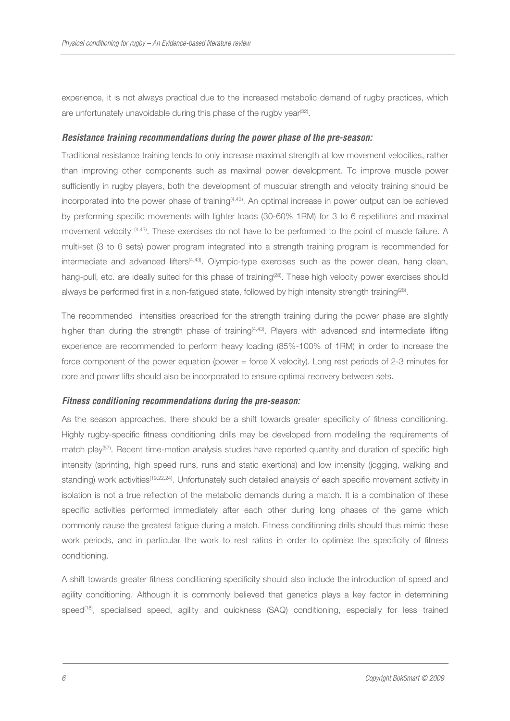experience, it is not always practical due to the increased metabolic demand of rugby practices, which are unfortunately unavoidable during this phase of the rugby year<sup>(32)</sup>.

#### **Resistance training recommendations during the power phase of the pre-season:**

Traditional resistance training tends to only increase maximal strength at low movement velocities, rather than improving other components such as maximal power development. To improve muscle power sufficiently in rugby players, both the development of muscular strength and velocity training should be incorporated into the power phase of training<sup>(4,43)</sup>. An optimal increase in power output can be achieved by performing specific movements with lighter loads (30-60% 1RM) for 3 to 6 repetitions and maximal movement velocity (4,43). These exercises do not have to be performed to the point of muscle failure. A multi-set (3 to 6 sets) power program integrated into a strength training program is recommended for intermediate and advanced lifters<sup>(4,43)</sup>. Olympic-type exercises such as the power clean, hang clean, hang-pull, etc. are ideally suited for this phase of training<sup>(28)</sup>. These high velocity power exercises should always be performed first in a non-fatigued state, followed by high intensity strength training<sup>(28)</sup>.

The recommended intensities prescribed for the strength training during the power phase are slightly higher than during the strength phase of training<sup>(4,43)</sup>. Players with advanced and intermediate lifting experience are recommended to perform heavy loading (85%-100% of 1RM) in order to increase the force component of the power equation (power = force X velocity). Long rest periods of 2-3 minutes for core and power lifts should also be incorporated to ensure optimal recovery between sets.

## **Fitness conditioning recommendations during the pre-season:**

As the season approaches, there should be a shift towards greater specificity of fitness conditioning. Highly rugby-specific fitness conditioning drills may be developed from modelling the requirements of match play<sup>(57)</sup>. Recent time-motion analysis studies have reported quantity and duration of specific high intensity (sprinting, high speed runs, runs and static exertions) and low intensity (jogging, walking and standing) work activities<sup>(19,22,24)</sup>. Unfortunately such detailed analysis of each specific movement activity in isolation is not a true reflection of the metabolic demands during a match. It is a combination of these specific activities performed immediately after each other during long phases of the game which commonly cause the greatest fatigue during a match. Fitness conditioning drills should thus mimic these work periods, and in particular the work to rest ratios in order to optimise the specificity of fitness conditioning.

A shift towards greater fitness conditioning specificity should also include the introduction of speed and agility conditioning. Although it is commonly believed that genetics plays a key factor in determining speed<sup>(18)</sup>, specialised speed, agility and quickness (SAQ) conditioning, especially for less trained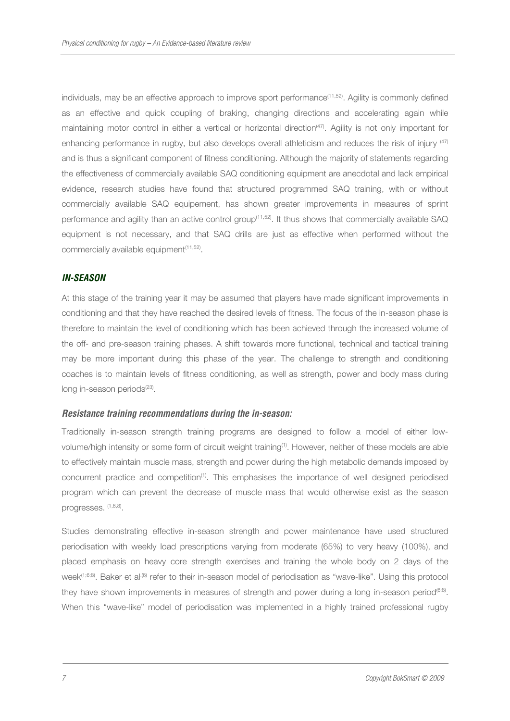individuals, may be an effective approach to improve sport performance<sup>(11,52)</sup>. Agility is commonly defined as an effective and quick coupling of braking, changing directions and accelerating again while maintaining motor control in either a vertical or horizontal direction(47). Agility is not only important for enhancing performance in rugby, but also develops overall athleticism and reduces the risk of injury  $^{(47)}$ and is thus a significant component of fitness conditioning. Although the majority of statements regarding the effectiveness of commercially available SAQ conditioning equipment are anecdotal and lack empirical evidence, research studies have found that structured programmed SAQ training, with or without commercially available SAQ equipement, has shown greater improvements in measures of sprint performance and agility than an active control group<sup>(11,52)</sup>. It thus shows that commercially available SAQ equipment is not necessary, and that SAQ drills are just as effective when performed without the commercially available equipment<sup>(11,52)</sup>.

## **IN-SEASON**

At this stage of the training year it may be assumed that players have made significant improvements in conditioning and that they have reached the desired levels of fitness. The focus of the in-season phase is therefore to maintain the level of conditioning which has been achieved through the increased volume of the off- and pre-season training phases. A shift towards more functional, technical and tactical training may be more important during this phase of the year. The challenge to strength and conditioning coaches is to maintain levels of fitness conditioning, as well as strength, power and body mass during long in-season periods<sup>(23)</sup>.

#### **Resistance training recommendations during the in-season:**

Traditionally in-season strength training programs are designed to follow a model of either lowvolume/high intensity or some form of circuit weight training(1). However, neither of these models are able to effectively maintain muscle mass, strength and power during the high metabolic demands imposed by concurrent practice and competition(1). This emphasises the importance of well designed periodised program which can prevent the decrease of muscle mass that would otherwise exist as the season progresses. (1,6,8).

Studies demonstrating effective in-season strength and power maintenance have used structured periodisation with weekly load prescriptions varying from moderate (65%) to very heavy (100%), and placed emphasis on heavy core strength exercises and training the whole body on 2 days of the week<sup>(1;6;8)</sup>. Baker et al<sup>.(6)</sup> refer to their in-season model of periodisation as "wave-like". Using this protocol they have shown improvements in measures of strength and power during a long in-season period<sup>(6;8)</sup>. When this "wave-like" model of periodisation was implemented in a highly trained professional rugby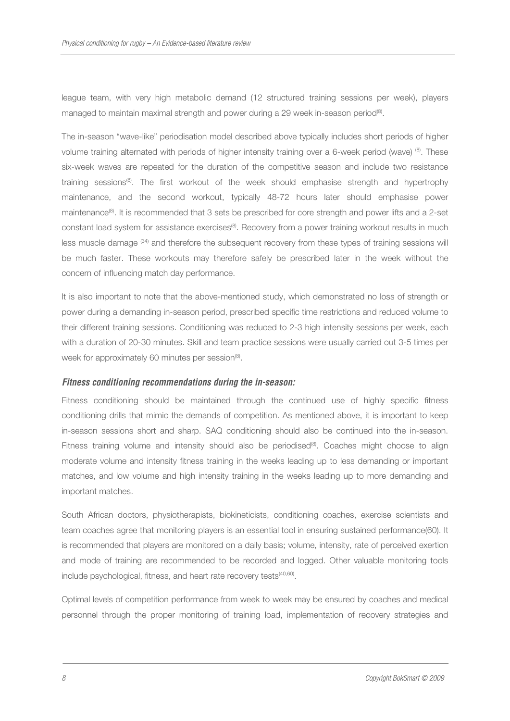league team, with very high metabolic demand (12 structured training sessions per week), players managed to maintain maximal strength and power during a 29 week in-season period<sup>(8)</sup>.

The in-season "wave-like" periodisation model described above typically includes short periods of higher volume training alternated with periods of higher intensity training over a 6-week period (wave) (8). These six-week waves are repeated for the duration of the competitive season and include two resistance training sessions<sup>(8)</sup>. The first workout of the week should emphasise strength and hypertrophy maintenance, and the second workout, typically 48-72 hours later should emphasise power maintenance<sup>(8)</sup>. It is recommended that 3 sets be prescribed for core strength and power lifts and a 2-set constant load system for assistance exercises<sup>(8)</sup>. Recovery from a power training workout results in much less muscle damage (34) and therefore the subsequent recovery from these types of training sessions will be much faster. These workouts may therefore safely be prescribed later in the week without the concern of influencing match day performance.

It is also important to note that the above-mentioned study, which demonstrated no loss of strength or power during a demanding in-season period, prescribed specific time restrictions and reduced volume to their different training sessions. Conditioning was reduced to 2-3 high intensity sessions per week, each with a duration of 20-30 minutes. Skill and team practice sessions were usually carried out 3-5 times per week for approximately 60 minutes per session<sup>(8)</sup>.

## **Fitness conditioning recommendations during the in-season:**

Fitness conditioning should be maintained through the continued use of highly specific fitness conditioning drills that mimic the demands of competition. As mentioned above, it is important to keep in-season sessions short and sharp. SAQ conditioning should also be continued into the in-season. Fitness training volume and intensity should also be periodised $^{(6)}$ . Coaches might choose to align moderate volume and intensity fitness training in the weeks leading up to less demanding or important matches, and low volume and high intensity training in the weeks leading up to more demanding and important matches.

South African doctors, physiotherapists, biokineticists, conditioning coaches, exercise scientists and team coaches agree that monitoring players is an essential tool in ensuring sustained performance(60). It is recommended that players are monitored on a daily basis; volume, intensity, rate of perceived exertion and mode of training are recommended to be recorded and logged. Other valuable monitoring tools include psychological, fitness, and heart rate recovery tests<sup>(40,60)</sup>.

Optimal levels of competition performance from week to week may be ensured by coaches and medical personnel through the proper monitoring of training load, implementation of recovery strategies and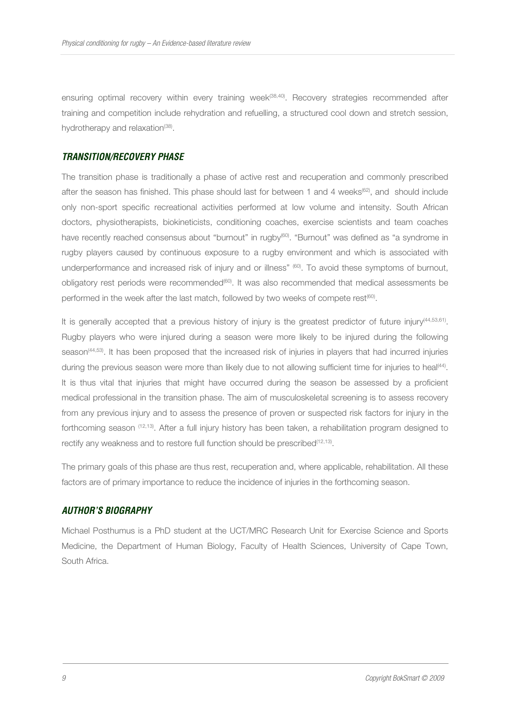ensuring optimal recovery within every training week<sup>(38,40)</sup>. Recovery strategies recommended after training and competition include rehydration and refuelling, a structured cool down and stretch session, hydrotherapy and relaxation<sup>(38)</sup>.

#### **TRANSITION/RECOVERY PHASE**

The transition phase is traditionally a phase of active rest and recuperation and commonly prescribed after the season has finished. This phase should last for between 1 and 4 weeks<sup>(62)</sup>, and should include only non-sport specific recreational activities performed at low volume and intensity. South African doctors, physiotherapists, biokineticists, conditioning coaches, exercise scientists and team coaches have recently reached consensus about "burnout" in rugby<sup>(60)</sup>. "Burnout" was defined as "a syndrome in rugby players caused by continuous exposure to a rugby environment and which is associated with underperformance and increased risk of injury and or illness" (60). To avoid these symptoms of burnout, obligatory rest periods were recommended<sup>(60)</sup>. It was also recommended that medical assessments be performed in the week after the last match, followed by two weeks of compete rest<sup>(60)</sup>.

It is generally accepted that a previous history of injury is the greatest predictor of future injury<sup>(44,53,61)</sup>. Rugby players who were injured during a season were more likely to be injured during the following season<sup>(44,53)</sup>. It has been proposed that the increased risk of injuries in players that had incurred injuries during the previous season were more than likely due to not allowing sufficient time for injuries to heal<sup>(44)</sup>. It is thus vital that injuries that might have occurred during the season be assessed by a proficient medical professional in the transition phase. The aim of musculoskeletal screening is to assess recovery from any previous injury and to assess the presence of proven or suspected risk factors for injury in the forthcoming season (12,13). After a full injury history has been taken, a rehabilitation program designed to rectify any weakness and to restore full function should be prescribed<sup>(12,13)</sup>.

The primary goals of this phase are thus rest, recuperation and, where applicable, rehabilitation. All these factors are of primary importance to reduce the incidence of injuries in the forthcoming season.

## **AUTHOR'S BIOGRAPHY**

Michael Posthumus is a PhD student at the UCT/MRC Research Unit for Exercise Science and Sports Medicine, the Department of Human Biology, Faculty of Health Sciences, University of Cape Town, South Africa.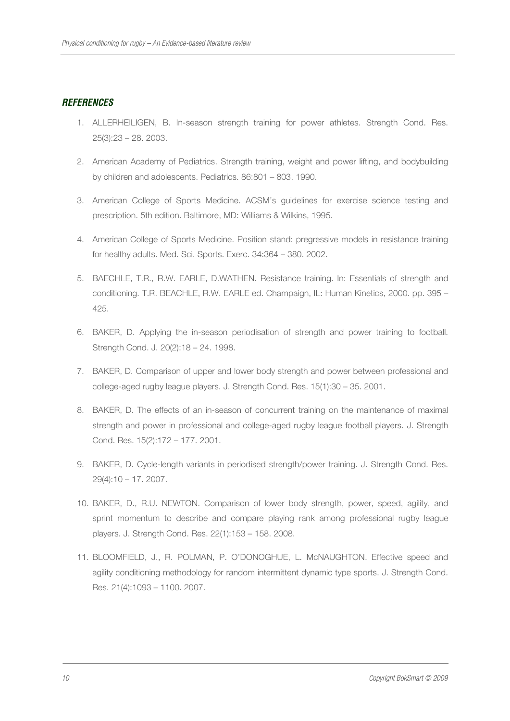## **REFERENCES**

- 1. ALLERHEILIGEN, B. In-season strength training for power athletes. Strength Cond. Res. 25(3):23 – 28. 2003.
- 2. American Academy of Pediatrics. Strength training, weight and power lifting, and bodybuilding by children and adolescents. Pediatrics. 86:801 – 803. 1990.
- 3. American College of Sports Medicine. ACSM's guidelines for exercise science testing and prescription. 5th edition. Baltimore, MD: Williams & Wilkins, 1995.
- 4. American College of Sports Medicine. Position stand: pregressive models in resistance training for healthy adults. Med. Sci. Sports. Exerc. 34:364 – 380. 2002.
- 5. BAECHLE, T.R., R.W. EARLE, D.WATHEN. Resistance training. In: Essentials of strength and conditioning. T.R. BEACHLE, R.W. EARLE ed. Champaign, IL: Human Kinetics, 2000. pp. 395 – 425.
- 6. BAKER, D. Applying the in-season periodisation of strength and power training to football. Strength Cond. J. 20(2):18 – 24. 1998.
- 7. BAKER, D. Comparison of upper and lower body strength and power between professional and college-aged rugby league players. J. Strength Cond. Res. 15(1):30 – 35. 2001.
- 8. BAKER, D. The effects of an in-season of concurrent training on the maintenance of maximal strength and power in professional and college-aged rugby league football players. J. Strength Cond. Res. 15(2):172 – 177. 2001.
- 9. BAKER, D. Cycle-length variants in periodised strength/power training. J. Strength Cond. Res. 29(4):10 – 17. 2007.
- 10. BAKER, D., R.U. NEWTON. Comparison of lower body strength, power, speed, agility, and sprint momentum to describe and compare playing rank among professional rugby league players. J. Strength Cond. Res. 22(1):153 – 158. 2008.
- 11. BLOOMFIELD, J., R. POLMAN, P. O'DONOGHUE, L. McNAUGHTON. Effective speed and agility conditioning methodology for random intermittent dynamic type sports. J. Strength Cond. Res. 21(4):1093 – 1100. 2007.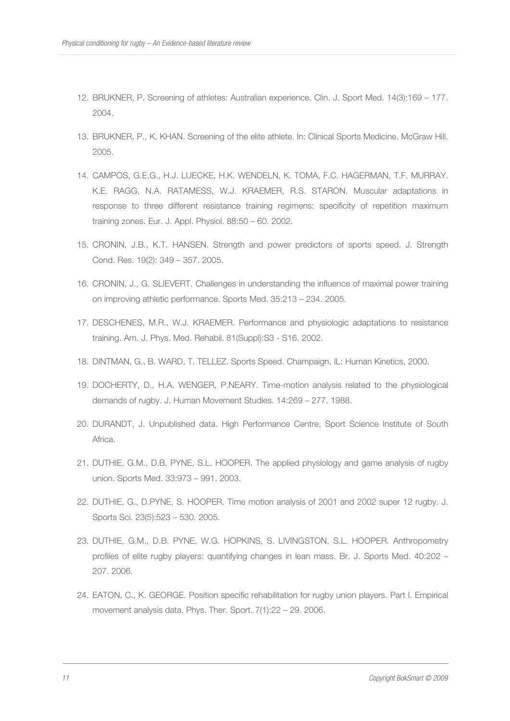- 12. BRUKNER, P. Screening of athletes: Australian experience. Clin. J. Sport Med. 14(3):169 177. 2004.
- 13. BRUKNER, P., K. KHAN. Screening of the elite athlete. In: Clinical Sports Medicine. McGraw Hill. 2005.
- 14. CAMPOS, G.E.G., H.J. LUECKE, H.K. WENDELN, K. TOMA, F.C. HAGERMAN, T.F. MURRAY. K.E. RAGG, N.A. RATAMESS, W.J. KRAEMER, R.S. STARON. Muscular adaptations in response to three different resistance training regimens: specificity of repetition maximum training zones. Eur. J. Appl. Physiol. 88:50 – 60. 2002.
- 15. CRONIN, J.B., K.T. HANSEN. Strength and power predictors of sports speed. J. Strength Cond. Res. 19(2): 349 – 357. 2005.
- 16. CRONIN, J., G. SLIEVERT. Challenges in understanding the influence of maximal power training on improving athletic performance. Sports Med. 35:213 – 234. 2005.
- 17. DESCHENES, M.R., W.J. KRAEMER. Performance and physiologic adaptations to resistance training. Am. J. Phys. Med. Rehabil. 81(Suppl):S3 - S16. 2002.
- 18. DINTMAN, G., B. WARD, T. TELLEZ. Sports Speed. Champaign, IL: Human Kinetics, 2000.
- 19. DOCHERTY, D., H.A. WENGER, P.NEARY. Time-motion analysis related to the physiological demands of rugby. J. Human Movement Studies. 14:269 – 277. 1988.
- 20. DURANDT, J. Unpublished data. High Performance Centre, Sport Science Institute of South Africa.
- 21. DUTHIE, G.M., D.B. PYNE, S.L. HOOPER. The applied physiology and game analysis of rugby union. Sports Med. 33:973 – 991. 2003.
- 22. DUTHIE, G., D.PYNE, S. HOOPER. Time motion analysis of 2001 and 2002 super 12 rugby. J. Sports Sci. 23(5):523 – 530. 2005.
- 23. DUTHIE, G.M., D.B. PYNE, W.G. HOPKINS, S. LIVINGSTON, S.L. HOOPER. Anthropometry profiles of elite rugby players: quantifying changes in lean mass. Br. J. Sports Med. 40:202 – 207. 2006.
- 24. EATON, C., K. GEORGE. Position specific rehabilitation for rugby union players. Part I. Empirical movement analysis data. Phys. Ther. Sport. 7(1):22 – 29. 2006.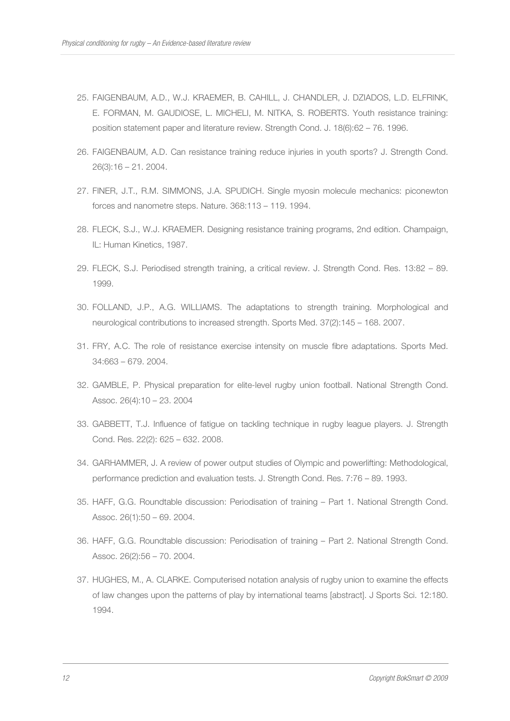- 25. FAIGENBAUM, A.D., W.J. KRAEMER, B. CAHILL, J. CHANDLER, J. DZIADOS, L.D. ELFRINK, E. FORMAN, M. GAUDIOSE, L. MICHELI, M. NITKA, S. ROBERTS. Youth resistance training: position statement paper and literature review. Strength Cond. J. 18(6):62 – 76. 1996.
- 26. FAIGENBAUM, A.D. Can resistance training reduce injuries in youth sports? J. Strength Cond. 26(3):16 – 21. 2004.
- 27. FINER, J.T., R.M. SIMMONS, J.A. SPUDICH. Single myosin molecule mechanics: piconewton forces and nanometre steps. Nature. 368:113 – 119. 1994.
- 28. FLECK, S.J., W.J. KRAEMER. Designing resistance training programs, 2nd edition. Champaign, IL: Human Kinetics, 1987.
- 29. FLECK, S.J. Periodised strength training, a critical review. J. Strength Cond. Res. 13:82 89. 1999.
- 30. FOLLAND, J.P., A.G. WILLIAMS. The adaptations to strength training. Morphological and neurological contributions to increased strength. Sports Med. 37(2):145 – 168. 2007.
- 31. FRY, A.C. The role of resistance exercise intensity on muscle fibre adaptations. Sports Med. 34:663 – 679. 2004.
- 32. GAMBLE, P. Physical preparation for elite-level rugby union football. National Strength Cond. Assoc. 26(4):10 – 23. 2004
- 33. GABBETT, T.J. Influence of fatigue on tackling technique in rugby league players. J. Strength Cond. Res. 22(2): 625 – 632. 2008.
- 34. GARHAMMER, J. A review of power output studies of Olympic and powerlifting: Methodological, performance prediction and evaluation tests. J. Strength Cond. Res. 7:76 – 89. 1993.
- 35. HAFF, G.G. Roundtable discussion: Periodisation of training Part 1. National Strength Cond. Assoc. 26(1):50 – 69. 2004.
- 36. HAFF, G.G. Roundtable discussion: Periodisation of training Part 2. National Strength Cond. Assoc. 26(2):56 – 70. 2004.
- 37. HUGHES, M., A. CLARKE. Computerised notation analysis of rugby union to examine the effects of law changes upon the patterns of play by international teams [abstract]. J Sports Sci. 12:180. 1994.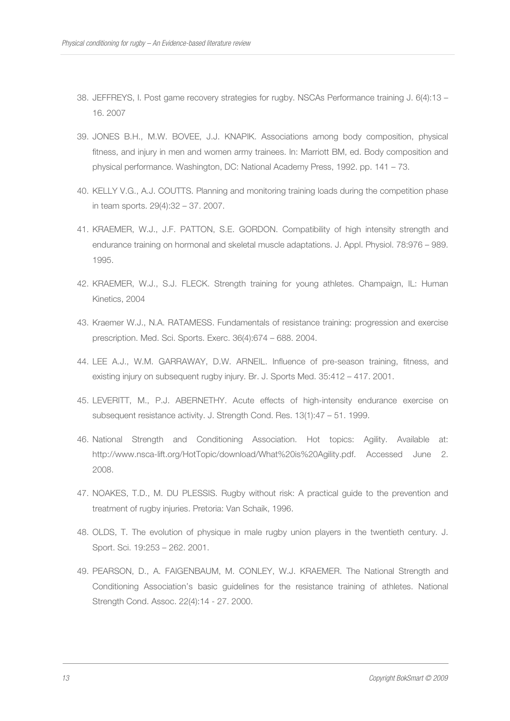- 38. JEFFREYS, I. Post game recovery strategies for rugby. NSCAs Performance training J. 6(4):13 16. 2007
- 39. JONES B.H., M.W. BOVEE, J.J. KNAPIK. Associations among body composition, physical fitness, and injury in men and women army trainees. In: Marriott BM, ed. Body composition and physical performance. Washington, DC: National Academy Press, 1992. pp. 141 – 73.
- 40. KELLY V.G., A.J. COUTTS. Planning and monitoring training loads during the competition phase in team sports. 29(4):32 – 37. 2007.
- 41. KRAEMER, W.J., J.F. PATTON, S.E. GORDON. Compatibility of high intensity strength and endurance training on hormonal and skeletal muscle adaptations. J. Appl. Physiol. 78:976 – 989. 1995.
- 42. KRAEMER, W.J., S.J. FLECK. Strength training for young athletes. Champaign, IL: Human Kinetics, 2004
- 43. Kraemer W.J., N.A. RATAMESS. Fundamentals of resistance training: progression and exercise prescription. Med. Sci. Sports. Exerc. 36(4):674 – 688. 2004.
- 44. LEE A.J., W.M. GARRAWAY, D.W. ARNEIL. Influence of pre-season training, fitness, and existing injury on subsequent rugby injury. Br. J. Sports Med. 35:412 – 417. 2001.
- 45. LEVERITT, M., P.J. ABERNETHY. Acute effects of high-intensity endurance exercise on subsequent resistance activity. J. Strength Cond. Res. 13(1):47 – 51. 1999.
- 46. National Strength and Conditioning Association. Hot topics: Agility. Available at: http://www.nsca-lift.org/HotTopic/download/What%20is%20Agility.pdf. Accessed June 2. 2008.
- 47. NOAKES, T.D., M. DU PLESSIS. Rugby without risk: A practical guide to the prevention and treatment of rugby injuries. Pretoria: Van Schaik, 1996.
- 48. OLDS, T. The evolution of physique in male rugby union players in the twentieth century. J. Sport. Sci. 19:253 – 262. 2001.
- 49. PEARSON, D., A. FAIGENBAUM, M. CONLEY, W.J. KRAEMER. The National Strength and Conditioning Association's basic guidelines for the resistance training of athletes. National Strength Cond. Assoc. 22(4):14 - 27. 2000.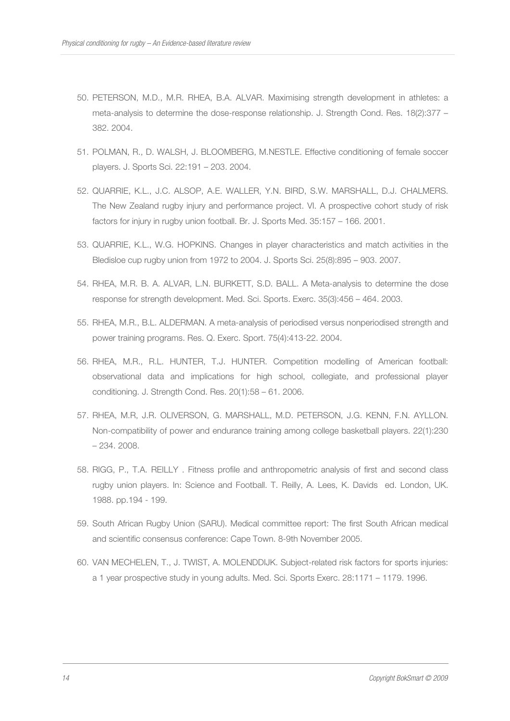- 50. PETERSON, M.D., M.R. RHEA, B.A. ALVAR. Maximising strength development in athletes: a meta-analysis to determine the dose-response relationship. J. Strength Cond. Res. 18(2):377 – 382. 2004.
- 51. POLMAN, R., D. WALSH, J. BLOOMBERG, M.NESTLE. Effective conditioning of female soccer players. J. Sports Sci. 22:191 – 203. 2004.
- 52. QUARRIE, K.L., J.C. ALSOP, A.E. WALLER, Y.N. BIRD, S.W. MARSHALL, D.J. CHALMERS. The New Zealand rugby injury and performance project. VI. A prospective cohort study of risk factors for injury in rugby union football. Br. J. Sports Med. 35:157 – 166. 2001.
- 53. QUARRIE, K.L., W.G. HOPKINS. Changes in player characteristics and match activities in the Bledisloe cup rugby union from 1972 to 2004. J. Sports Sci. 25(8):895 – 903. 2007.
- 54. RHEA, M.R. B. A. ALVAR, L.N. BURKETT, S.D. BALL. A Meta-analysis to determine the dose response for strength development. Med. Sci. Sports. Exerc. 35(3):456 – 464. 2003.
- 55. RHEA, M.R., B.L. ALDERMAN. A meta-analysis of periodised versus nonperiodised strength and power training programs. Res. Q. Exerc. Sport. 75(4):413-22. 2004.
- 56. RHEA, M.R., R.L. HUNTER, T.J. HUNTER. Competition modelling of American football: observational data and implications for high school, collegiate, and professional player conditioning. J. Strength Cond. Res. 20(1):58 – 61. 2006.
- 57. RHEA, M.R, J.R. OLIVERSON, G. MARSHALL, M.D. PETERSON, J.G. KENN, F.N. AYLLON. Non-compatibility of power and endurance training among college basketball players. 22(1):230 – 234. 2008.
- 58. RIGG, P., T.A. REILLY . Fitness profile and anthropometric analysis of first and second class rugby union players. In: Science and Football. T. Reilly, A. Lees, K. Davids ed. London, UK. 1988. pp.194 - 199.
- 59. South African Rugby Union (SARU). Medical committee report: The first South African medical and scientific consensus conference: Cape Town. 8-9th November 2005.
- 60. VAN MECHELEN, T., J. TWIST, A. MOLENDDIJK. Subject-related risk factors for sports injuries: a 1 year prospective study in young adults. Med. Sci. Sports Exerc. 28:1171 – 1179. 1996.